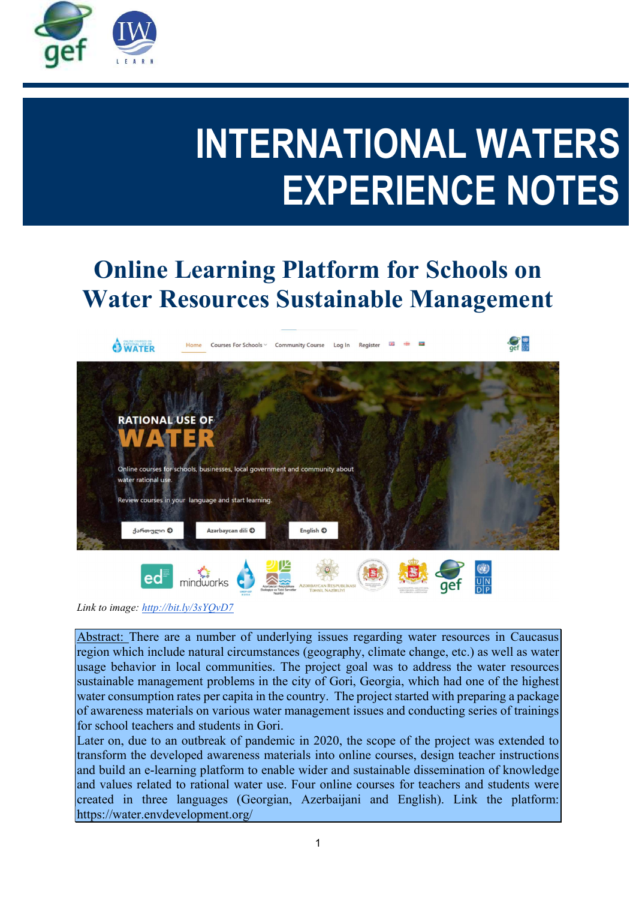

# INTERNATIONAL WATERS EXPERIENCE NOTES

# Online Learning Platform for Schools on Water Resources Sustainable Management



Link to image: http://bit.ly/3sYQvD7

Abstract: There are a number of underlying issues regarding water resources in Caucasus region which include natural circumstances (geography, climate change, etc.) as well as water usage behavior in local communities. The project goal was to address the water resources sustainable management problems in the city of Gori, Georgia, which had one of the highest water consumption rates per capita in the country. The project started with preparing a package of awareness materials on various water management issues and conducting series of trainings for school teachers and students in Gori.

Later on, due to an outbreak of pandemic in 2020, the scope of the project was extended to transform the developed awareness materials into online courses, design teacher instructions and build an e-learning platform to enable wider and sustainable dissemination of knowledge and values related to rational water use. Four online courses for teachers and students were created in three languages (Georgian, Azerbaijani and English). Link the platform: https://water.envdevelopment.org/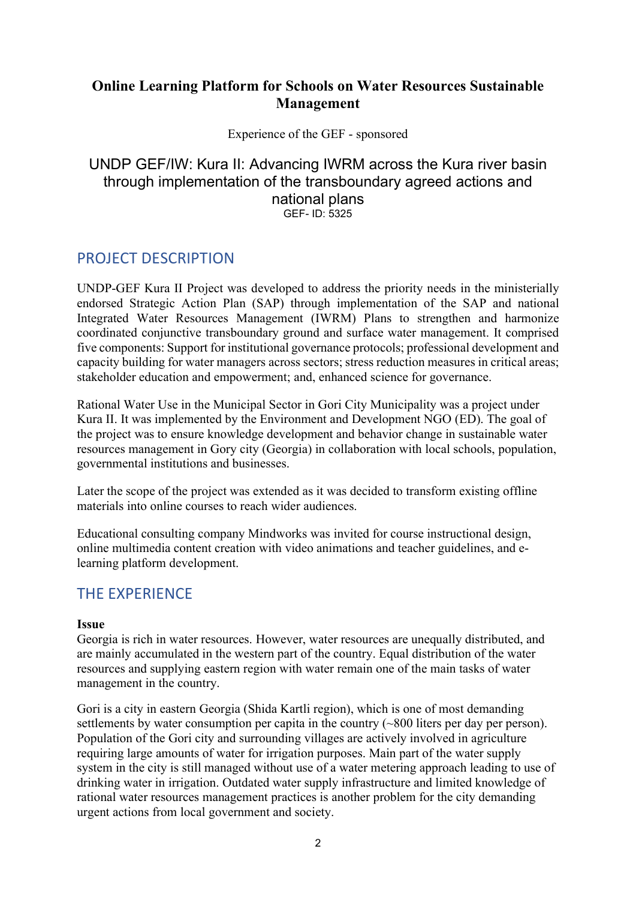# Online Learning Platform for Schools on Water Resources Sustainable Management

#### Experience of the GEF - sponsored

#### UNDP GEF/IW: Kura II: Advancing IWRM across the Kura river basin through implementation of the transboundary agreed actions and national plans GEF- ID: 5325

# PROJECT DESCRIPTION

UNDP-GEF Kura II Project was developed to address the priority needs in the ministerially endorsed Strategic Action Plan (SAP) through implementation of the SAP and national Integrated Water Resources Management (IWRM) Plans to strengthen and harmonize coordinated conjunctive transboundary ground and surface water management. It comprised five components: Support for institutional governance protocols; professional development and capacity building for water managers across sectors; stress reduction measures in critical areas; stakeholder education and empowerment; and, enhanced science for governance.

Rational Water Use in the Municipal Sector in Gori City Municipality was a project under Kura II. It was implemented by the Environment and Development NGO (ED). The goal of the project was to ensure knowledge development and behavior change in sustainable water resources management in Gory city (Georgia) in collaboration with local schools, population, governmental institutions and businesses.

Later the scope of the project was extended as it was decided to transform existing offline materials into online courses to reach wider audiences.

Educational consulting company Mindworks was invited for course instructional design, online multimedia content creation with video animations and teacher guidelines, and elearning platform development.

# THE EXPERIENCE

#### Issue

Georgia is rich in water resources. However, water resources are unequally distributed, and are mainly accumulated in the western part of the country. Equal distribution of the water resources and supplying eastern region with water remain one of the main tasks of water management in the country.

Gori is a city in eastern Georgia (Shida Kartli region), which is one of most demanding settlements by water consumption per capita in the country (~800 liters per day per person). Population of the Gori city and surrounding villages are actively involved in agriculture requiring large amounts of water for irrigation purposes. Main part of the water supply system in the city is still managed without use of a water metering approach leading to use of drinking water in irrigation. Outdated water supply infrastructure and limited knowledge of rational water resources management practices is another problem for the city demanding urgent actions from local government and society.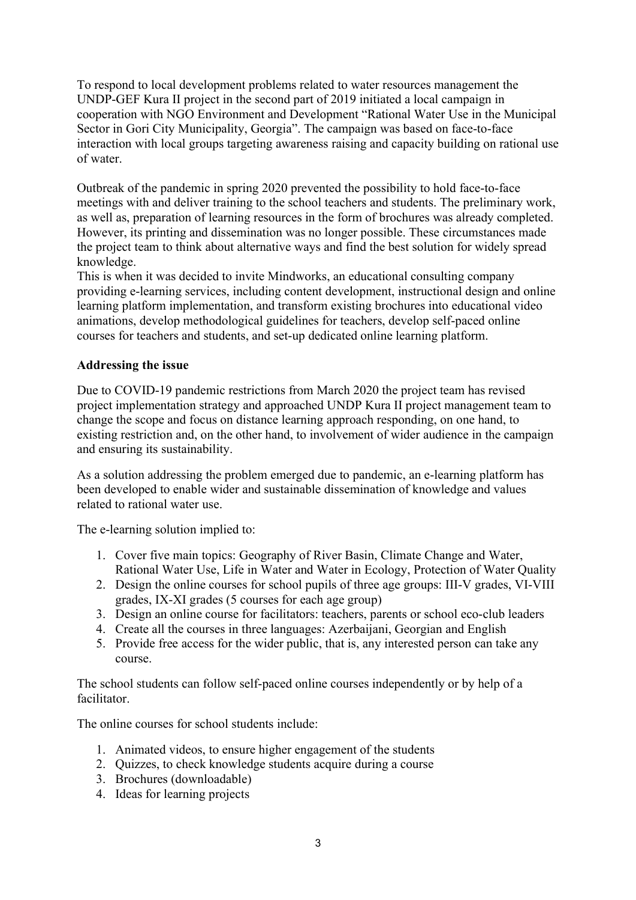To respond to local development problems related to water resources management the UNDP-GEF Kura II project in the second part of 2019 initiated a local campaign in cooperation with NGO Environment and Development "Rational Water Use in the Municipal Sector in Gori City Municipality, Georgia". The campaign was based on face-to-face interaction with local groups targeting awareness raising and capacity building on rational use of water.

Outbreak of the pandemic in spring 2020 prevented the possibility to hold face-to-face meetings with and deliver training to the school teachers and students. The preliminary work, as well as, preparation of learning resources in the form of brochures was already completed. However, its printing and dissemination was no longer possible. These circumstances made the project team to think about alternative ways and find the best solution for widely spread knowledge.

This is when it was decided to invite Mindworks, an educational consulting company providing e-learning services, including content development, instructional design and online learning platform implementation, and transform existing brochures into educational video animations, develop methodological guidelines for teachers, develop self-paced online courses for teachers and students, and set-up dedicated online learning platform.

#### Addressing the issue

Due to COVID-19 pandemic restrictions from March 2020 the project team has revised project implementation strategy and approached UNDP Kura II project management team to change the scope and focus on distance learning approach responding, on one hand, to existing restriction and, on the other hand, to involvement of wider audience in the campaign and ensuring its sustainability.

As a solution addressing the problem emerged due to pandemic, an e-learning platform has been developed to enable wider and sustainable dissemination of knowledge and values related to rational water use.

The e-learning solution implied to:

- 1. Cover five main topics: Geography of River Basin, Climate Change and Water, Rational Water Use, Life in Water and Water in Ecology, Protection of Water Quality
- 2. Design the online courses for school pupils of three age groups: III-V grades, VI-VIII grades, IX-XI grades (5 courses for each age group)
- 3. Design an online course for facilitators: teachers, parents or school eco-club leaders
- 4. Create all the courses in three languages: Azerbaijani, Georgian and English
- 5. Provide free access for the wider public, that is, any interested person can take any course.

The school students can follow self-paced online courses independently or by help of a facilitator.

The online courses for school students include:

- 1. Animated videos, to ensure higher engagement of the students
- 2. Quizzes, to check knowledge students acquire during a course
- 3. Brochures (downloadable)
- 4. Ideas for learning projects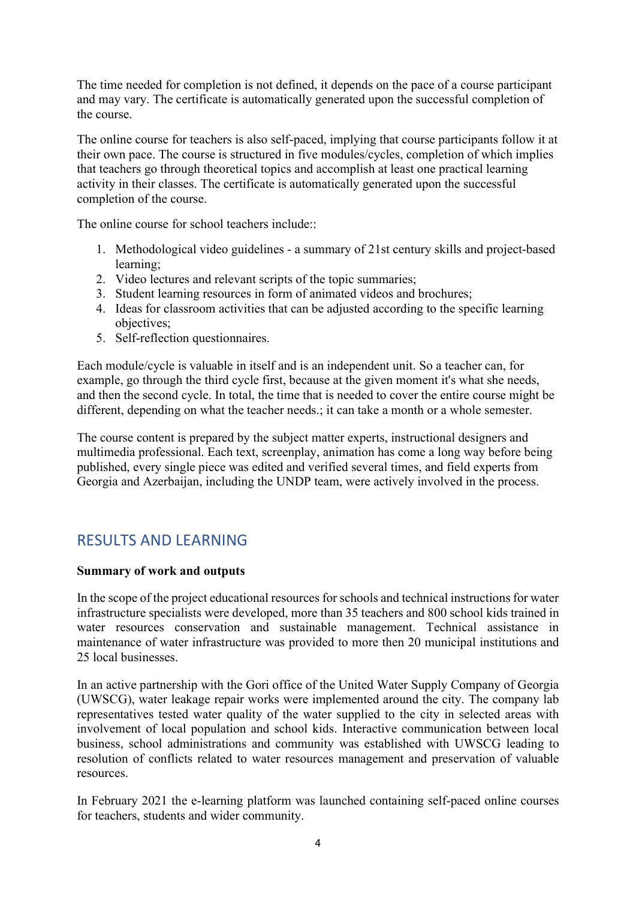The time needed for completion is not defined, it depends on the pace of a course participant and may vary. The certificate is automatically generated upon the successful completion of the course.

The online course for teachers is also self-paced, implying that course participants follow it at their own pace. The course is structured in five modules/cycles, completion of which implies that teachers go through theoretical topics and accomplish at least one practical learning activity in their classes. The certificate is automatically generated upon the successful completion of the course.

The online course for school teachers include::

- 1. Methodological video guidelines a summary of 21st century skills and project-based learning;
- 2. Video lectures and relevant scripts of the topic summaries;
- 3. Student learning resources in form of animated videos and brochures;
- 4. Ideas for classroom activities that can be adjusted according to the specific learning objectives;
- 5. Self-reflection questionnaires.

Each module/cycle is valuable in itself and is an independent unit. So a teacher can, for example, go through the third cycle first, because at the given moment it's what she needs, and then the second cycle. In total, the time that is needed to cover the entire course might be different, depending on what the teacher needs.; it can take a month or a whole semester.

The course content is prepared by the subject matter experts, instructional designers and multimedia professional. Each text, screenplay, animation has come a long way before being published, every single piece was edited and verified several times, and field experts from Georgia and Azerbaijan, including the UNDP team, were actively involved in the process.

# RESULTS AND LEARNING

#### Summary of work and outputs

In the scope of the project educational resources for schools and technical instructions for water infrastructure specialists were developed, more than 35 teachers and 800 school kids trained in water resources conservation and sustainable management. Technical assistance in maintenance of water infrastructure was provided to more then 20 municipal institutions and 25 local businesses.

In an active partnership with the Gori office of the United Water Supply Company of Georgia (UWSCG), water leakage repair works were implemented around the city. The company lab representatives tested water quality of the water supplied to the city in selected areas with involvement of local population and school kids. Interactive communication between local business, school administrations and community was established with UWSCG leading to resolution of conflicts related to water resources management and preservation of valuable resources.

In February 2021 the e-learning platform was launched containing self-paced online courses for teachers, students and wider community.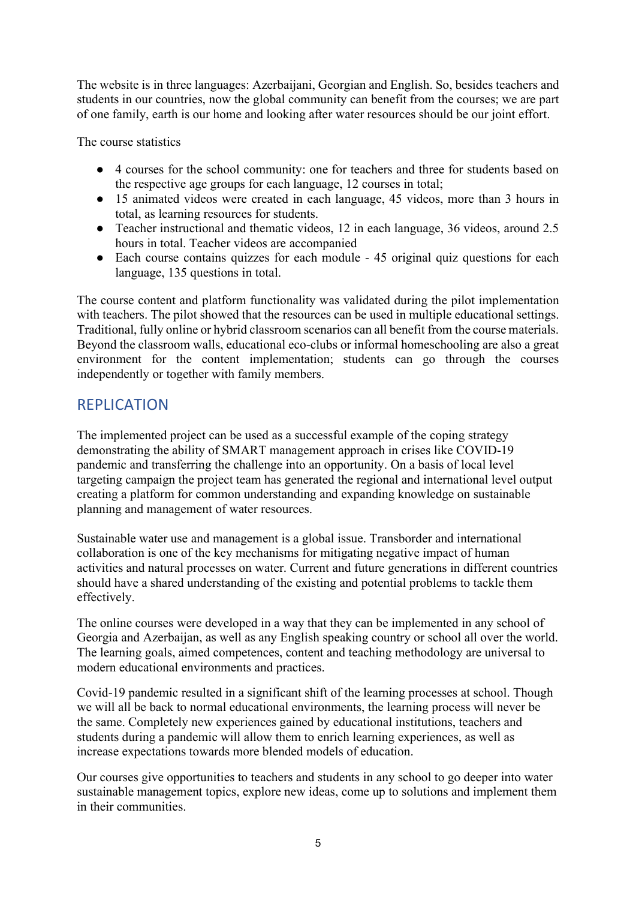The website is in three languages: Azerbaijani, Georgian and English. So, besides teachers and students in our countries, now the global community can benefit from the courses; we are part of one family, earth is our home and looking after water resources should be our joint effort.

The course statistics

- 4 courses for the school community: one for teachers and three for students based on the respective age groups for each language, 12 courses in total;
- 15 animated videos were created in each language, 45 videos, more than 3 hours in total, as learning resources for students.
- Teacher instructional and thematic videos, 12 in each language, 36 videos, around 2.5 hours in total. Teacher videos are accompanied
- Each course contains quizzes for each module 45 original quiz questions for each language, 135 questions in total.

The course content and platform functionality was validated during the pilot implementation with teachers. The pilot showed that the resources can be used in multiple educational settings. Traditional, fully online or hybrid classroom scenarios can all benefit from the course materials. Beyond the classroom walls, educational eco-clubs or informal homeschooling are also a great environment for the content implementation; students can go through the courses independently or together with family members.

# REPLICATION

The implemented project can be used as a successful example of the coping strategy demonstrating the ability of SMART management approach in crises like COVID-19 pandemic and transferring the challenge into an opportunity. On a basis of local level targeting campaign the project team has generated the regional and international level output creating a platform for common understanding and expanding knowledge on sustainable planning and management of water resources.

Sustainable water use and management is a global issue. Transborder and international collaboration is one of the key mechanisms for mitigating negative impact of human activities and natural processes on water. Current and future generations in different countries should have a shared understanding of the existing and potential problems to tackle them effectively.

The online courses were developed in a way that they can be implemented in any school of Georgia and Azerbaijan, as well as any English speaking country or school all over the world. The learning goals, aimed competences, content and teaching methodology are universal to modern educational environments and practices.

Covid-19 pandemic resulted in a significant shift of the learning processes at school. Though we will all be back to normal educational environments, the learning process will never be the same. Completely new experiences gained by educational institutions, teachers and students during a pandemic will allow them to enrich learning experiences, as well as increase expectations towards more blended models of education.

Our courses give opportunities to teachers and students in any school to go deeper into water sustainable management topics, explore new ideas, come up to solutions and implement them in their communities.